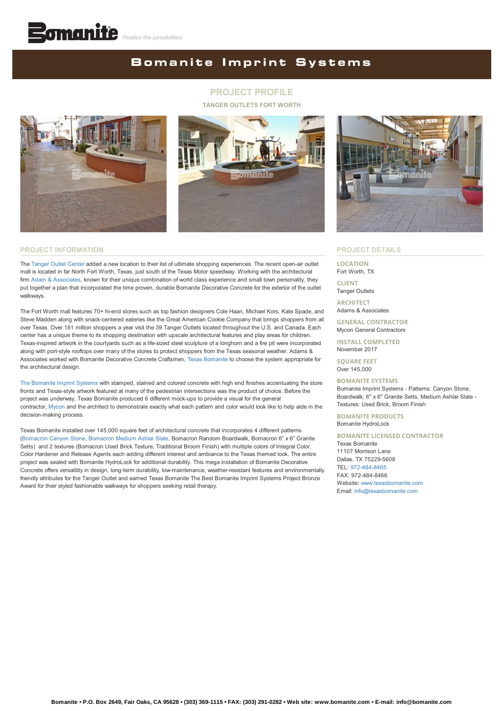# **Bomanite Imprint Systems**

## **PROJECT PROFILE**

#### **TANGER OUTLETS FORT WORTH**





### **PROJECT DETAILS**

**LOCATION** Fort Worth, TX

**CLIENT** Tanger Outlets

**ARCHITECT** Adams & Associates

**GENERAL CONTRACTOR**

Mycon General Contractors **INSTALL COMPLETED**

November 2017

**SQUARE FEET** Over 145,000

### **BOMANITE SYSTEMS**

Bomanite Imprint Systems - Patterns: Canyon Stone, Boardwalk, 6" x 6" Granite Setts, Medium Ashlar Slate - Textures: Used Brick, Broom Finish

**BOMANITE PRODUCTS** Bomanite HydroLock

### **BOMANITE LICENSED CONTRACTOR**

Texas Bomanite 11107 Morrison Lane Dallas, TX 75229-5608 TEL: [972-484-8465](tel:1-972-484-8465) FAX: 972-484-8466 Website: [www.texasbomanite.com](http://www.texasbomanite.com/) Email: [info@texasbomanite.com](mailto:info@texasbomanite.com?cc=info@bomanite.com&subject=I%20Need%20More%20Info%20About%20Project%20Profile:%20Tanger%20Outlets)

#### **PROJECT INFORMATION**

The [Tanger Outlet Center](https://www.tangeroutlet.com/fortworth) added a new location to their list of ultimate shopping experiences. The recent open-air outlet mall is located in far North Fort Worth, Texas, just south of the Texas Motor speedway. Working with the architectural firm [Adam & Associates,](https://adamsassociatesarch.com/) known for their unique combination of world class experience and small town personality, they put together a plan that incorporated the time proven, durable Bomanite Decorative Concrete for the exterior of the outlet walkways.

The Fort Worth mall features 70+ hi-end stores such as top fashion designers Cole Haan, Michael Kors, Kate Spade, and Steve Madden along with snack-centered eateries like the Great American Cookie Company that brings shoppers from all over Texas. Over 181 million shoppers a year visit the 39 Tanger Outlets located throughout the U.S. and Canada. Each center has a unique theme to its shopping destination with upscale architectural features and play areas for children. Texas-inspired artwork in the courtyards such as a life-sized steel sculpture of a longhorn and a fire pit were incorporated along with port-style rooftops over many of the stores to protect shoppers from the Texas seasonal weather. Adams & Associates worked with Bomanite Decorative Concrete Craftsmen, [Texas Bomanite](http://www.texasbomanite.com/) to choose the system appropriate for the architectural design.

[The Bomanite Imprint Systems](https://bomanite.com/system_parent/imprint-system/) with stamped, stained and colored concrete with high end finishes accentuating the store fronts and Texas-style artwork featured at many of the pedestrian intersections was the product of choice. Before the project was underway, Texas Bomanite produced 6 different mock-ups to provide a visual for the general contractor, [Mycon](https://mycon.com/) and the architect to demonstrate exactly what each pattern and color would look like to help aide in the decision-making process.

Texas Bomanite installed over 145,000 square feet of architectural concrete that incorporates 4 different patterns [\(Bomacron Canyon Stone,](https://bomanite.com/wp-content/uploads/2015/07/PatternSpotlight_CanyonStone.pdf) [Bomacron Medium Ashlar Slate,](https://bomanite.com/wp-content/uploads/2019/06/Bomanite_Pattern_Spotlight_Medium_Ashlar_Slate.pdf) Bomacron Random Boardwalk, Bomacron 6" x 6" Granite Setts) and 2 textures (Bomacron Used Brick Texture, Traditional Broom Finish) with multiple colors of Integral Color, Color Hardener and Release Agents each adding different interest and ambiance to the Texas themed look. The entire project was sealed with Bomanite HydroLock for additional durability. This mega installation of Bomanite Decorative Concrete offers versatility in design, long-term durability, low-maintenance, weather-resistant features and environmentally friendly attributes for the Tanger Outlet and earned Texas Bomanite The Best Bomanite Imprint Systems Project Bronze Award for their styled fashionable walkways for shoppers seeking retail therapy.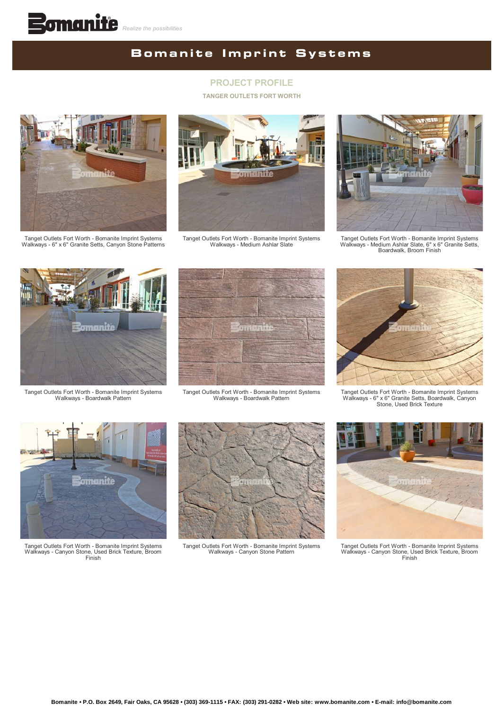# **Bomanite Imprint Systems**

## **PROJECT PROFILE**

#### **TANGER OUTLETS FORT WORTH**



Tanget Outlets Fort Worth - Bomanite Imprint Systems Walkways - 6" x 6" Granite Setts, Canyon Stone Patterns



Tanget Outlets Fort Worth - Bomanite Imprint Systems Walkways - Medium Ashlar Slate



Tanget Outlets Fort Worth - Bomanite Imprint Systems Walkways - Medium Ashlar Slate, 6" x 6" Granite Setts, Boardwalk, Broom Finish



Tanget Outlets Fort Worth - Bomanite Imprint Systems Walkways - Boardwalk Pattern



Tanget Outlets Fort Worth - Bomanite Imprint Systems Walkways - Boardwalk Pattern



Tanget Outlets Fort Worth - Bomanite Imprint Systems Walkways - 6" x 6" Granite Setts, Boardwalk, Canyon Stone, Used Brick Texture



Tanget Outlets Fort Worth - Bomanite Imprint Systems Walkways - Canyon Stone, Used Brick Texture, Broom Finish



Tanget Outlets Fort Worth - Bomanite Imprint Systems Walkways - Canyon Stone Pattern



Tanget Outlets Fort Worth - Bomanite Imprint Systems Walkways - Canyon Stone, Used Brick Texture, Broom Finish